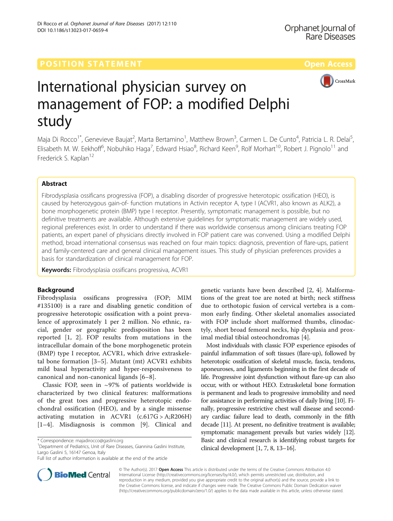

# International physician survey on management of FOP: a modified Delphi study

Maja Di Rocco<sup>1\*</sup>, Genevieve Baujat<sup>2</sup>, Marta Bertamino<sup>1</sup>, Matthew Brown<sup>3</sup>, Carmen L. De Cunto<sup>4</sup>, Patricia L. R. Delai<sup>5</sup> , Elisabeth M. W. Eekhoff<sup>6</sup>, Nobuhiko Haga<sup>7</sup>, Edward Hsiao<sup>8</sup>, Richard Keen<sup>9</sup>, Rolf Morhart<sup>10</sup>, Robert J. Pignolo<sup>11</sup> and Frederick S. Kaplan<sup>12</sup>

# Abstract

Fibrodysplasia ossificans progressiva (FOP), a disabling disorder of progressive heterotopic ossification (HEO), is caused by heterozygous gain-of- function mutations in Activin receptor A, type I (ACVR1, also known as ALK2), a bone morphogenetic protein (BMP) type I receptor. Presently, symptomatic management is possible, but no definitive treatments are available. Although extensive guidelines for symptomatic management are widely used, regional preferences exist. In order to understand if there was worldwide consensus among clinicians treating FOP patients, an expert panel of physicians directly involved in FOP patient care was convened. Using a modified Delphi method, broad international consensus was reached on four main topics: diagnosis, prevention of flare-ups, patient and family-centered care and general clinical management issues. This study of physician preferences provides a basis for standardization of clinical management for FOP.

Keywords: Fibrodysplasia ossificans progressiva, ACVR1

# Background

Fibrodysplasia ossificans progressiva (FOP; MIM #135100) is a rare and disabling genetic condition of progressive heterotopic ossification with a point prevalence of approximately 1 per 2 million. No ethnic, racial, gender or geographic predisposition has been reported [[1, 2\]](#page-4-0). FOP results from mutations in the intracellular domain of the bone morphogenetic protein (BMP) type I receptor, ACVR1, which drive extraskeletal bone formation [[3](#page-4-0)–[5](#page-4-0)]. Mutant (mt) ACVR1 exhibits mild basal hyperactivity and hyper-responsiveness to canonical and non-canonical ligands [\[6](#page-4-0)–[8](#page-4-0)].

Classic FOP, seen in  $\sim$ 97% of patients worldwide is characterized by two clinical features: malformations of the great toes and progressive heterotopic endochondral ossification (HEO), and by a single missense activating mutation in ACVR1 (c.617G > A;R206H) [[1](#page-4-0)–[4\]](#page-4-0). Misdiagnosis is common [[9](#page-4-0)]. Clinical and

<sup>1</sup>Department of Pediatrics, Unit of Rare Diseases, Giannina Gaslini Institute, Largo Gaslini 5, 16147 Genoa, Italy

genetic variants have been described [\[2](#page-4-0), [4\]](#page-4-0). Malformations of the great toe are noted at birth; neck stiffness due to orthotopic fusion of cervical vertebra is a common early finding. Other skeletal anomalies associated with FOP include short malformed thumbs, clinodactyly, short broad femoral necks, hip dysplasia and proximal medial tibial osteochondromas [\[4](#page-4-0)].

Most individuals with classic FOP experience episodes of painful inflammation of soft tissues (flare-up), followed by heterotopic ossification of skeletal muscle, fascia, tendons, aponeuroses, and ligaments beginning in the first decade of life. Progressive joint dysfunction without flare-up can also occur, with or without HEO. Extraskeletal bone formation is permanent and leads to progressive immobility and need for assistance in performing activities of daily living [[10](#page-4-0)]. Finally, progressive restrictive chest wall disease and secondary cardiac failure lead to death, commonly in the fifth decade [[11](#page-4-0)]. At present, no definitive treatment is available; symptomatic management prevails but varies widely [\[12](#page-4-0)]. Basic and clinical research is identifying robust targets for clinical development [\[1, 7, 8](#page-4-0), [13](#page-4-0)–[16](#page-4-0)].



© The Author(s). 2017 **Open Access** This article is distributed under the terms of the Creative Commons Attribution 4.0 International License [\(http://creativecommons.org/licenses/by/4.0/](http://creativecommons.org/licenses/by/4.0/)), which permits unrestricted use, distribution, and reproduction in any medium, provided you give appropriate credit to the original author(s) and the source, provide a link to the Creative Commons license, and indicate if changes were made. The Creative Commons Public Domain Dedication waiver [\(http://creativecommons.org/publicdomain/zero/1.0/](http://creativecommons.org/publicdomain/zero/1.0/)) applies to the data made available in this article, unless otherwise stated.

<sup>\*</sup> Correspondence: [majadirocco@gaslini.org](mailto:majadirocco@gaslini.org) <sup>1</sup>

Full list of author information is available at the end of the article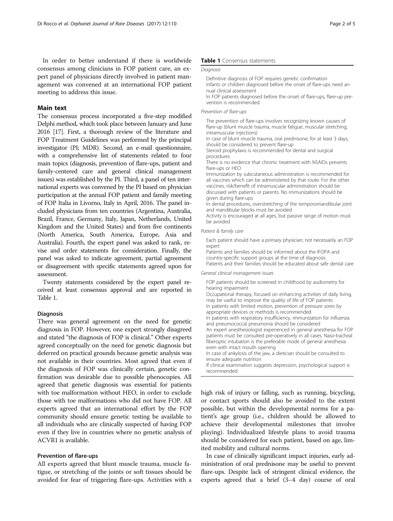<span id="page-1-0"></span>In order to better understand if there is worldwide consensus among clinicians in FOP patient care, an expert panel of physicians directly involved in patient management was convened at an international FOP patient meeting to address this issue.

# Main text

The consensus process incorporated a five-step modified Delphi method, which took place between January and June 2016 [\[17\]](#page-4-0). First, a thorough review of the literature and FOP Treatment Guidelines was performed by the principal investigator (PI; MDR). Second, an e-mail questionnaire, with a comprehensive list of statements related to four main topics (diagnosis, prevention of flare-ups, patient and family-centered care and general clinical management issues) was established by the PI. Third, a panel of ten international experts was convened by the PI based on physician participation at the annual FOP patient and family meeting of FOP Italia in Livorno, Italy in April, 2016. The panel included physicians from ten countries (Argentina, Australia, Brazil, France, Germany, Italy, Japan, Netherlands, United Kingdom and the United States) and from five continents (North America, South America, Europe, Asia and Australia). Fourth, the expert panel was asked to rank, revise and order statements for consideration. Finally, the panel was asked to indicate agreement, partial agreement or disagreement with specific statements agreed upon for assessment.

Twenty statements considered by the expert panel received at least consensus approval and are reported in Table 1.

#### Diagnosis

There was general agreement on the need for genetic diagnosis in FOP. However, one expert strongly disagreed and stated "the diagnosis of FOP is clinical." Other experts agreed conceptually on the need for genetic diagnosis but deferred on practical grounds because genetic analysis was not available in their countries. Most agreed that even if the diagnosis of FOP was clinically certain, genetic confirmation was desirable due to possible phenocopies. All agreed that genetic diagnosis was essential for patients with toe malformation without HEO, in order to exclude those with toe malformations who did not have FOP. All experts agreed that an international effort by the FOP community should ensure genetic testing be available to all individuals who are clinically suspected of having FOP even if they live in countries where no genetic analysis of ACVR1 is available.

## Prevention of flare-ups

All experts agreed that blunt muscle trauma, muscle fatigue, or stretching of the joints or soft tissues should be avoided for fear of triggering flare-ups. Activities with a

#### Table 1 Consensus statements

#### Diganosis

Diagnosis Definitive diagnosis of FOP requires genetic confirmation Infants or children diagnosed before the onset of flare-ups need annual clinical assessment

In FOP patients diagnosed before the onset of flare-ups, flare-up prevention is recommended

#### Prevention of flare-ups

The prevention of flare-ups involves recognizing known causes of flare-up (blunt muscle trauma, muscle fatigue, muscular stretching, intramuscular injections)

In case of blunt muscle trauma, oral prednisone, for at least 3 days, should be considered to prevent flare-up

Steroid prophylaxis is recommended for dental and surgical procedures

There is no evidence that chronic treatment with NSAIDs prevents flare-ups or HEO

Immunization by subcutaneous administration is recommended for all vaccines which can be administered by that route. For the other vaccines, risk/benefit of intramuscular administration should be discussed with patients or parents. No immunizations should be given during flare-ups

In dental procedures, overstretching of the temporomandibular joint and mandibular blocks must be avoided

Activity is encouraged at all ages, but passive range of motion must be avoided

# Patient & family care

Each patient should have a primary physician; not necessarily an FOP expert

Patients and families should be informed about the IFOPA and country-specific support groups at the time of diagnosis Patients and their families should be educated about safe dental care

General clinical management issues

```
FOP patients should be screened in childhood by audiometry for
hearing impairment
Occupational therapy, focused on enhancing activities of daily living,
may be useful to improve the quality of life of FOP patients
In patients with limited motion, prevention of pressure sores by
appropriate devices or methods is recommended
In patients with respiratory insufficiency, immunization for influenza
and pneumococcal pneumonia should be considered
An expert anesthesiologist experienced in general anesthesia for FOP
patients must be consulted pre-operatively in all cases. Naso-tracheal
fiberoptic intubation is the preferable mode of general anesthesia
even with intact mouth opening
In case of ankylosis of the jaw, a dietician should be consulted to
ensure adequate nutrition
If clinical examination suggests depression, psychological support is
recommended
```
high risk of injury or falling, such as running, bicycling, or contact sports should also be avoided to the extent possible, but within the developmental norms for a patient's age group (i.e., children should be allowed to achieve their developmental milestones that involve playing). Individualized lifestyle plans to avoid trauma should be considered for each patient, based on age, limited mobility and cultural norms.

In case of clinically significant impact injuries, early administration of oral prednisone may be useful to prevent flare-ups. Despite lack of stringent clinical evidence, the experts agreed that a brief (3–4 day) course of oral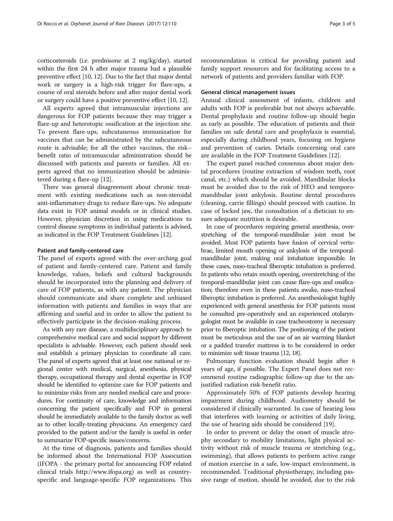corticosteroids (i.e. prednisone at 2 mg/kg/day), started within the first 24 h after major trauma had a plausible preventive effect [\[10, 12\]](#page-4-0). Due to the fact that major dental work or surgery is a high-risk trigger for flare-ups, a course of oral steroids before and after major dental work or surgery could have a positive preventive effect [\[10, 12](#page-4-0)].

All experts agreed that intramuscular injections are dangerous for FOP patients because they may trigger a flare-up and heterotopic ossification at the injection site. To prevent flare-ups, subcutaneous immunization for vaccines that can be administrated by the subcutaneous route is advisable; for all the other vaccines, the risk– benefit ratio of intramuscular administration should be discussed with patients and parents or families. All experts agreed that no immunization should be administered during a flare-up [[12\]](#page-4-0).

There was general disagreement about chronic treatment with existing medications such as non-steroidal anti-inflammatory drugs to reduce flare-ups. No adequate data exist in FOP animal models or in clinical studies. However, physician discretion in using medications to control disease symptoms in individual patients is advised, as indicated in the FOP Treatment Guidelines [[12](#page-4-0)].

#### Patient and family-centered care

The panel of experts agreed with the over-arching goal of patient and family-centered care. Patient and family knowledge, values, beliefs and cultural backgrounds should be incorporated into the planning and delivery of care of FOP patients, as with any patient. The physician should communicate and share complete and unbiased information with patients and families in ways that are affirming and useful and in order to allow the patient to effectively participate in the decision-making process.

As with any rare disease, a multidisciplinary approach to comprehensive medical care and social support by different specialists is advisable. However, each patient should seek and establish a primary physician to coordinate all care. The panel of experts agreed that at least one national or regional center with medical, surgical, anesthesia, physical therapy, occupational therapy and dental expertise in FOP should be identified to optimize care for FOP patients and to minimize risks from any needed medical care and procedures. For continuity of care, knowledge and information concerning the patient specifically and FOP in general should be immediately available to the family doctor as well as to other locally-treating physicians. An emergency card provided to the patient and/or the family is useful in order to summarize FOP-specific issues/concerns.

At the time of diagnosis, patients and families should be informed about the International FOP Association (IFOPA - the primary portal for announcing FOP related clinical trials [http://www.ifopa.org\)](http://www.ifopa.org/) as well as countryspecific and language-specific FOP organizations. This recommendation is critical for providing patient and family support resources and for facilitating access to a network of patients and providers familiar with FOP.

# General clinical management issues

Annual clinical assessment of infants, children and adults with FOP is preferable but not always achievable. Dental prophylaxis and routine follow-up should begin as early as possible. The education of patients and their families on safe dental care and prophylaxis is essential, especially during childhood years, focusing on hygiene and prevention of caries. Details concerning oral care are available in the FOP Treatment Guidelines [[12\]](#page-4-0).

The expert panel reached consensus about major dental procedures (routine extraction of wisdom teeth, root canal, etc.) which should be avoided. Mandibular blocks must be avoided due to the risk of HEO and temporomandibular joint ankylosis. Routine dental procedures (cleaning, carrie fillings) should proceed with caution. In case of locked jaw, the consultation of a dietician to ensure adequate nutrition is desirable.

In case of procedures requiring general anesthesia, overstretching of the temporal-mandibular joint must be avoided. Most FOP patients have fusion of cervical vertebrae, limited mouth opening or ankylosis of the temporalmandibular joint, making oral intubation impossible. In these cases, naso-tracheal fiberoptic intubation is preferred. In patients who retain mouth opening, overstretching of the temporal-mandibular joint can cause flare-ups and ossification; therefore even in these patients awake, naso-tracheal fiberoptic intubation is preferred. An anesthesiologist highly experienced with general anesthesia for FOP patients must be consulted pre-operatively and an experienced otolaryngologist must be available in case tracheostomy is necessary prior to fiberoptic intubation. The positioning of the patient must be meticulous and the use of an air warming blanket or a padded transfer mattress is to be considered in order to minimize soft tissue trauma [[12](#page-4-0), [18\]](#page-4-0).

Pulmonary function evaluation should begin after 6 years of age, if possible. The Expert Panel does not recommend routine radiographic follow-up due to the unjustified radiation risk-benefit ratio.

Approximately 50% of FOP patients develop hearing impairment during childhood. Audiometry should be considered if clinically warranted. In case of hearing loss that interferes with learning or activities of daily living, the use of hearing aids should be considered [[19](#page-4-0)].

In order to prevent or delay the onset of muscle atrophy secondary to mobility limitations, light physical activity without risk of muscle trauma or stretching (e.g., swimming), that allows patients to perform active range of motion exercise in a safe, low-impact environment, is recommended. Traditional physiotherapy, including passive range of motion, should be avoided, due to the risk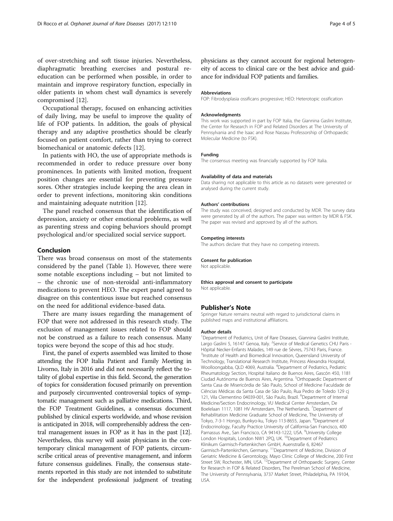of over-stretching and soft tissue injuries. Nevertheless, diaphragmatic breathing exercises and postural reeducation can be performed when possible, in order to maintain and improve respiratory function, especially in older patients in whom chest wall dynamics is severely compromised [[12](#page-4-0)].

Occupational therapy, focused on enhancing activities of daily living, may be useful to improve the quality of life of FOP patients. In addition, the goals of physical therapy and any adaptive prosthetics should be clearly focused on patient comfort, rather than trying to correct biomechanical or anatomic defects [\[12](#page-4-0)].

In patients with HO, the use of appropriate methods is recommended in order to reduce pressure over bony prominences. In patients with limited motion, frequent position changes are essential for preventing pressure sores. Other strategies include keeping the area clean in order to prevent infections, monitoring skin conditions and maintaining adequate nutrition [\[12](#page-4-0)].

The panel reached consensus that the identification of depression, anxiety or other emotional problems, as well as parenting stress and coping behaviors should prompt psychological and/or specialized social service support.

### Conclusion

There was broad consensus on most of the statements considered by the panel (Table [1](#page-1-0)). However, there were some notable exceptions including – but not limited to – the chronic use of non-steroidal anti-inflammatory medications to prevent HEO. The expert panel agreed to disagree on this contentious issue but reached consensus on the need for additional evidence-based data.

There are many issues regarding the management of FOP that were not addressed in this research study. The exclusion of management issues related to FOP should not be construed as a failure to reach consensus. Many topics were beyond the scope of this ad hoc study.

First, the panel of experts assembled was limited to those attending the FOP Italia Patient and Family Meeting in Livorno, Italy in 2016 and did not necessarily reflect the totality of global expertise in this field. Second, the generation of topics for consideration focused primarily on prevention and purposely circumvented controversial topics of symptomatic management such as palliative medications. Third, the FOP Treatment Guidelines, a consensus document published by clinical experts worldwide, and whose revision is anticipated in 2018, will comprehensibly address the central management issues in FOP as it has in the past [\[12](#page-4-0)]. Nevertheless, this survey will assist physicians in the contemporary clinical management of FOP patients, circumscribe critical areas of preventive management, and inform future consensus guidelines. Finally, the consensus statements reported in this study are not intended to substitute for the independent professional judgment of treating

physicians as they cannot account for regional heterogeneity of access to clinical care or the best advice and guidance for individual FOP patients and families.

#### Abbreviations

FOP: Fibrodysplasia ossificans progressive; HEO: Heterotopic ossification

#### Acknowledgments

This work was supported in part by FOP Italia, the Giannina Gaslini Institute, the Center for Research in FOP and Related Disorders at The University of Pennsylvania and the Isaac and Rose Nassau Professorship of Orthopaedic Molecular Medicine (to FSK).

#### Funding

The consensus meeting was financially supported by FOP Italia.

#### Availability of data and materials

Data sharing not applicable to this article as no datasets were generated or analysed during the current study.

#### Authors' contributions

The study was conceived, designed and conducted by MDR. The survey data were generated by all of the authors. The paper was written by MDR & FSK. The paper was revised and approved by all of the authors.

#### Competing interests

The authors declare that they have no competing interests.

#### Consent for publication

Not applicable.

#### Ethics approval and consent to participate Not applicable.

#### Publisher's Note

Springer Nature remains neutral with regard to jurisdictional claims in published maps and institutional affiliations.

#### Author details

<sup>1</sup>Department of Pediatrics, Unit of Rare Diseases, Giannina Gaslini Institute, Largo Gaslini 5, 16147 Genoa, Italy. <sup>2</sup>Service of Medical Genetics CHU Paris -Hôpital Necker-Enfants Malades, 149 rue de Sèvres, 75743 Paris, France. <sup>3</sup>Institute of Health and Biomedical Innovation, Queensland University of Technology, Translational Research Institute, Princess Alexandra Hospital, Woolloongabba, QLD 4069, Australia. <sup>4</sup>Department of Pediatrics, Pediatric Rheumatology Section, Hospital Italiano de Buenos Aires, Gascón 450, 1181 Ciudad Autónoma de Buenos Aires, Argentina. <sup>5</sup>Orthopaedic Department of Santa Casa de Misericórdia de São Paulo, School of Medicine Faculdade de Ciências Médicas da Santa Casa de São Paulo, Rua Pedro de Toledo 129 cj 121, Vila Clementino 04039-001, São Paulo, Brazil. <sup>6</sup>Department of Internal Medicine/Section Endocrinology, VU Medical Center Amsterdam, De Boelelaan 1117, 1081 HV Amsterdam, The Netherlands. <sup>7</sup>Department of Rehabilitation Medicine Graduate School of Medicine, The University of Tokyo, 7-3-1 Hongo, Bunkyo-ku, Tokyo 113-8655, Japan. <sup>8</sup>Department of Endocrinology, Faculty Practice University of California-San Francisco, 400 Parnassus Ave., San Francisco, CA 94143-1222, USA. <sup>9</sup>University College London Hospitals, London NW1 2PQ, UK.<sup>10</sup>Department of Pediatrics Klinikum Garmisch-Partenkirchen GmbH, Auenstraße 6, 82467 Garmisch-Partenkirchen, Germany. 11Department of Medicine, Division of Geriatric Medicine & Gerontology, Mayo Clinic College of Medicine, 200 First<br>Street SW, Rochester, MN, USA. <sup>12</sup>Department of Orthopaedic Surgery, Center for Research in FOP & Related Disorders, The Perelman School of Medicine, The University of Pennsylvania, 3737 Market Street, Philadelphia, PA 19104, USA.